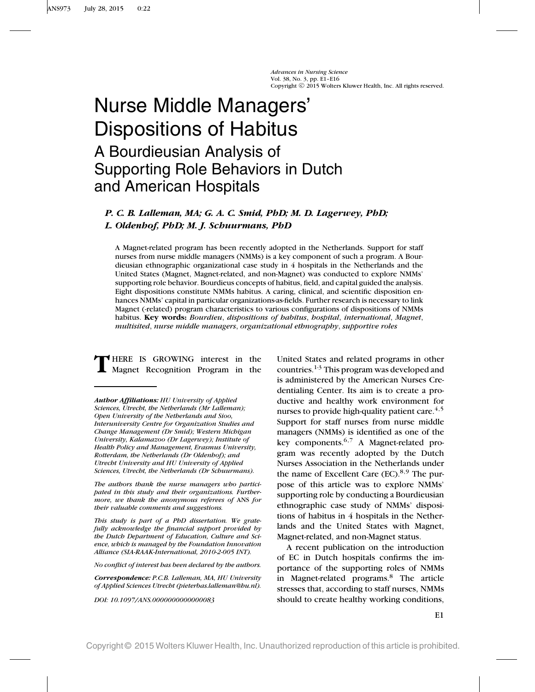*Advances in Nursing Science* Vol. 38, No. 3, pp. E1–E16 Copyright © 2015 Wolters Kluwer Health, Inc. All rights reserved.

# Nurse Middle Managers' Dispositions of Habitus A Bourdieusian Analysis of Supporting Role Behaviors in Dutch and American Hospitals

# *P. C. B. Lalleman, MA; G. A. C. Smid, PhD; M. D. Lagerwey, PhD; L. Oldenhof, PhD; M. J. Schuurmans, PhD*

A Magnet-related program has been recently adopted in the Netherlands. Support for staff nurses from nurse middle managers (NMMs) is a key component of such a program. A Bourdieusian ethnographic organizational case study in 4 hospitals in the Netherlands and the United States (Magnet, Magnet-related, and non-Magnet) was conducted to explore NMMs' supporting role behavior. Bourdieus concepts of habitus, field, and capital guided the analysis. Eight dispositions constitute NMMs habitus. A caring, clinical, and scientific disposition enhances NMMs' capital in particular organizations-as-fields. Further research is necessary to link Magnet (-related) program characteristics to various configurations of dispositions of NMMs habitus. **Key words:** *Bourdieu*, *dispositions of habitus*, *hospital*, *international*, *Magnet*, *multisited*, *nurse middle managers*, *organizational ethnography*, *supportive roles*

**T** HERE IS GROWING interest in the Magnet Recognition Program in the

*The authors thank the nurse managers who participated in this study and their organizations. Furthermore, we thank the anonymous referees of* ANS *for their valuable comments and suggestions.*

*This study is part of a PhD dissertation. We gratefully acknowledge the financial support provided by the Dutch Department of Education, Culture and Science, which is managed by the Foundation Innovation Alliance (SIA-RAAK-International, 2010-2-005 INT).*

*No conflict of interest has been declared by the authors.*

*Correspondence: P.C.B. Lalleman, MA, HU University of Applied Sciences Utrecht [\(pieterbas.lalleman@hu.nl\)](mailto:pieterbas.lalleman@hu.nl).*

*DOI: 10.1097/ANS.0000000000000083*

United States and related programs in other countries.1-3 This program was developed and is administered by the American Nurses Credentialing Center. Its aim is to create a productive and healthy work environment for nurses to provide high-quality patient care. $4,5$ Support for staff nurses from nurse middle managers (NMMs) is identified as one of the key components.6,7 A Magnet-related program was recently adopted by the Dutch Nurses Association in the Netherlands under the name of Excellent Care  $(EC).<sup>8,9</sup>$  The purpose of this article was to explore NMMs' supporting role by conducting a Bourdieusian ethnographic case study of NMMs' dispositions of habitus in 4 hospitals in the Netherlands and the United States with Magnet, Magnet-related, and non-Magnet status.

A recent publication on the introduction of EC in Dutch hospitals confirms the importance of the supporting roles of NMMs in Magnet-related programs.8 The article stresses that, according to staff nurses, NMMs should to create healthy working conditions,

*Author Affiliations: HU University of Applied Sciences, Utrecht, the Netherlands (Mr Lalleman); Open University of the Netherlands and Sioo, Interuniversity Centre for Organization Studies and Change Management (Dr Smid); Western Michigan University, Kalamazoo (Dr Lagerwey); Institute of Health Policy and Management, Erasmus University, Rotterdam, the Netherlands (Dr Oldenhof); and Utrecht University and HU University of Applied Sciences, Utrecht, the Netherlands (Dr Schuurmans).*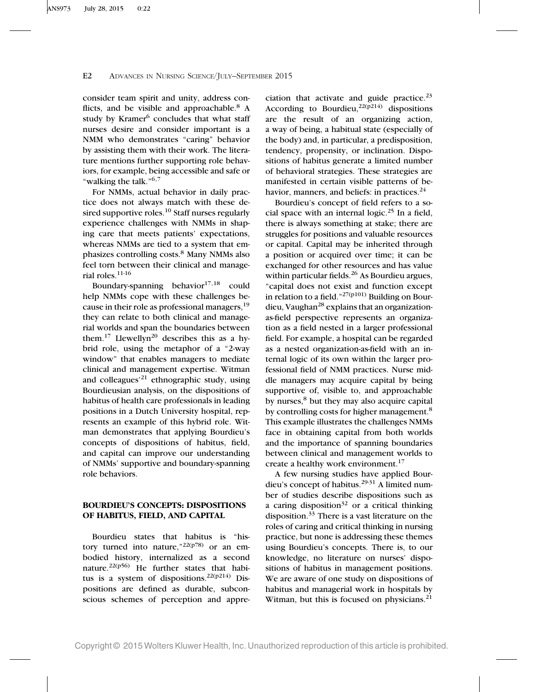consider team spirit and unity, address conflicts, and be visible and approachable.<sup>8</sup> A study by Kramer<sup>6</sup> concludes that what staff nurses desire and consider important is a NMM who demonstrates "caring" behavior by assisting them with their work. The literature mentions further supporting role behaviors, for example, being accessible and safe or "walking the talk."6,7

For NMMs, actual behavior in daily practice does not always match with these desired supportive roles.<sup>10</sup> Staff nurses regularly experience challenges with NMMs in shaping care that meets patients' expectations, whereas NMMs are tied to a system that emphasizes controlling costs.8 Many NMMs also feel torn between their clinical and managerial roles. $11-16$ 

Boundary-spanning behavior $17,18$  could help NMMs cope with these challenges because in their role as professional managers,<sup>19</sup> they can relate to both clinical and managerial worlds and span the boundaries between them.<sup>17</sup> Llewellyn<sup>20</sup> describes this as a hybrid role, using the metaphor of a "2-way window" that enables managers to mediate clinical and management expertise. Witman and colleagues<sup> $21$ </sup> ethnographic study, using Bourdieusian analysis, on the dispositions of habitus of health care professionals in leading positions in a Dutch University hospital, represents an example of this hybrid role. Witman demonstrates that applying Bourdieu's concepts of dispositions of habitus, field, and capital can improve our understanding of NMMs' supportive and boundary-spanning role behaviors.

## **BOURDIEU'S CONCEPTS: DISPOSITIONS OF HABITUS, FIELD, AND CAPITAL**

Bourdieu states that habitus is "history turned into nature," $22(p78)$  or an embodied history, internalized as a second nature.<sup>22(p56)</sup> He further states that habitus is a system of dispositions.<sup>22(p214)</sup> Dispositions are defined as durable, subconscious schemes of perception and appreciation that activate and guide practice. $23$ According to Bourdieu,  $2^{2(p214)}$  dispositions are the result of an organizing action, a way of being, a habitual state (especially of the body) and, in particular, a predisposition, tendency, propensity, or inclination. Dispositions of habitus generate a limited number of behavioral strategies. These strategies are manifested in certain visible patterns of behavior, manners, and beliefs: in practices. $24$ 

Bourdieu's concept of field refers to a social space with an internal logic.<sup>25</sup> In a field, there is always something at stake; there are struggles for positions and valuable resources or capital. Capital may be inherited through a position or acquired over time; it can be exchanged for other resources and has value within particular fields.<sup>26</sup> As Bourdieu argues, "capital does not exist and function except in relation to a field."<sup>27(p101)</sup> Building on Bour $d$ ieu, Vaughan<sup>28</sup> explains that an organizationas-field perspective represents an organization as a field nested in a larger professional field. For example, a hospital can be regarded as a nested organization-as-field with an internal logic of its own within the larger professional field of NMM practices. Nurse middle managers may acquire capital by being supportive of, visible to, and approachable by nurses,<sup>8</sup> but they may also acquire capital by controlling costs for higher management.<sup>8</sup> This example illustrates the challenges NMMs face in obtaining capital from both worlds and the importance of spanning boundaries between clinical and management worlds to create a healthy work environment.<sup>17</sup>

A few nursing studies have applied Bourdieu's concept of habitus.29-31 A limited number of studies describe dispositions such as a caring disposition<sup>32</sup> or a critical thinking disposition.33 There is a vast literature on the roles of caring and critical thinking in nursing practice, but none is addressing these themes using Bourdieu's concepts. There is, to our knowledge, no literature on nurses' dispositions of habitus in management positions. We are aware of one study on dispositions of habitus and managerial work in hospitals by Witman, but this is focused on physicians. $21$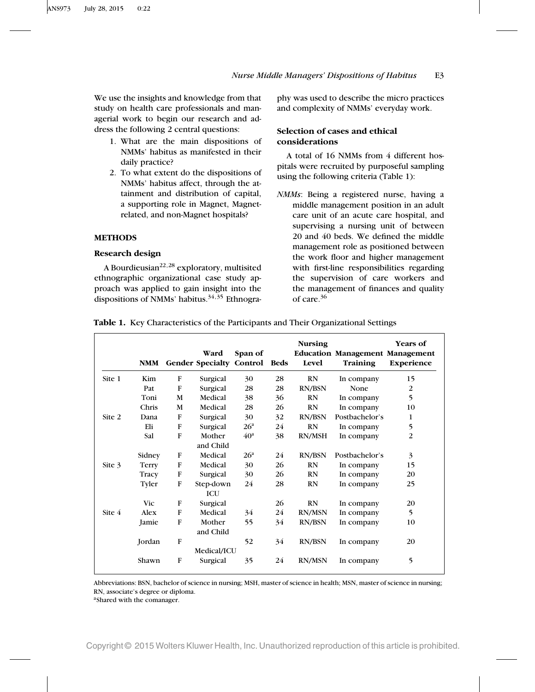We use the insights and knowledge from that study on health care professionals and managerial work to begin our research and address the following 2 central questions:

- 1. What are the main dispositions of NMMs' habitus as manifested in their daily practice?
- 2. To what extent do the dispositions of NMMs' habitus affect, through the attainment and distribution of capital, a supporting role in Magnet, Magnetrelated, and non-Magnet hospitals?

## **METHODS**

## **Research design**

A Bourdieusian<sup>22,28</sup> exploratory, multisited ethnographic organizational case study approach was applied to gain insight into the dispositions of NMMs' habitus.<sup>34,35</sup> Ethnography was used to describe the micro practices and complexity of NMMs' everyday work.

## **Selection of cases and ethical considerations**

A total of 16 NMMs from 4 different hospitals were recruited by purposeful sampling using the following criteria (Table 1):

*NMMs*: Being a registered nurse, having a middle management position in an adult care unit of an acute care hospital, and supervising a nursing unit of between 20 and 40 beds. We defined the middle management role as positioned between the work floor and higher management with first-line responsibilities regarding the supervision of care workers and the management of finances and quality of care.<sup>36</sup>

|  |  | Table 1. Key Characteristics of the Participants and Their Organizational Settings |  |  |  |  |  |
|--|--|------------------------------------------------------------------------------------|--|--|--|--|--|
|--|--|------------------------------------------------------------------------------------|--|--|--|--|--|

|          | NMM        |   | Ward<br>Gender Specialty Control Beds | Span of         |    | <b>Nursing</b><br><b>Level</b> | <b>Education Management Management</b><br>Training | <b>Years of</b><br><b>Experience</b> |
|----------|------------|---|---------------------------------------|-----------------|----|--------------------------------|----------------------------------------------------|--------------------------------------|
| Site 1   | Kim        | F | Surgical                              | 30              | 28 | RN                             | In company                                         | 15                                   |
|          | Pat        | F | Surgical                              | 28              | 28 | RN/BSN                         | None                                               | $\overline{2}$                       |
|          | Toni       | M | Medical                               | 38              | 36 | RN                             | In company                                         | 5                                    |
|          | Chris      | M | Medical                               | 28              | 26 | RN                             | In company                                         | 10                                   |
| Site 2   | Dana       | F | Surgical                              | 30              | 32 | RN/BSN                         | Postbachelor's                                     | 1                                    |
|          | Eli        | F | Surgical                              | 26 <sup>a</sup> | 24 | RN                             | In company                                         | 5                                    |
|          | Sal        | F | Mother                                | 40 <sup>a</sup> | 38 | <b>RN/MSH</b>                  | In company                                         | $\overline{2}$                       |
|          |            |   | and Child                             |                 |    |                                |                                                    |                                      |
|          | Sidney     | F | Medical                               | 26 <sup>a</sup> | 24 | RN/BSN                         | Postbachelor's                                     | 3                                    |
| Site 3   | Terry      | F | Medical                               | 30              | 26 | RN                             | In company                                         | 15                                   |
|          | Tracy      | F | Surgical                              | 30              | 26 | RN                             | In company                                         | 20                                   |
|          | Tyler      | F | Step-down<br><b>ICU</b>               | 24              | 28 | RN                             | In company                                         | 25                                   |
|          | <b>Vic</b> | F | Surgical                              |                 | 26 | RN                             | In company                                         | 20                                   |
| Site $4$ | Alex       | F | Medical                               | 34              | 24 | RN/MSN                         | In company                                         | 5                                    |
|          | Jamie      | F | Mother<br>and Child                   | 55              | 34 | RN/BSN                         | In company                                         | 10                                   |
|          | Jordan     | F | Medical/ICU                           | 52              | 34 | RN/BSN                         | In company                                         | 20                                   |
|          | Shawn      | F | Surgical                              | 35              | 24 | <b>RN/MSN</b>                  | In company                                         | 5                                    |

Abbreviations: BSN, bachelor of science in nursing; MSH, master of science in health; MSN, master of science in nursing; RN, associate's degree or diploma.

<sup>a</sup>Shared with the comanager.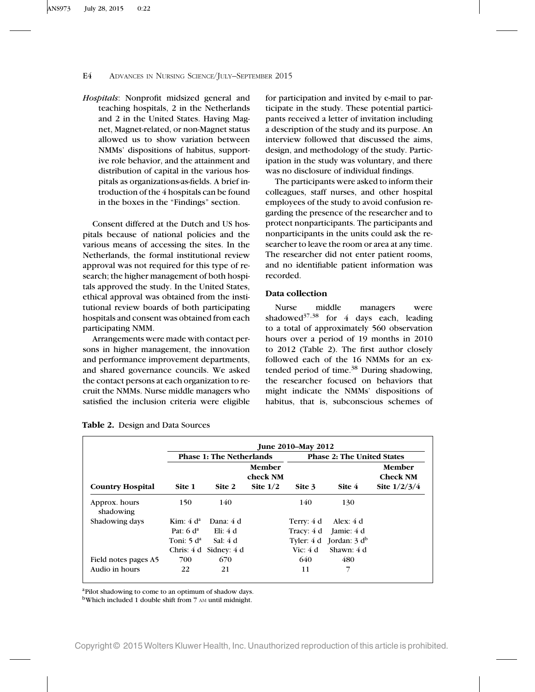*Hospitals*: Nonprofit midsized general and teaching hospitals, 2 in the Netherlands and 2 in the United States. Having Magnet, Magnet-related, or non-Magnet status allowed us to show variation between NMMs' dispositions of habitus, supportive role behavior, and the attainment and distribution of capital in the various hospitals as organizations-as-fields. A brief introduction of the 4 hospitals can be found in the boxes in the "Findings" section.

Consent differed at the Dutch and US hospitals because of national policies and the various means of accessing the sites. In the Netherlands, the formal institutional review approval was not required for this type of research; the higher management of both hospitals approved the study. In the United States, ethical approval was obtained from the institutional review boards of both participating hospitals and consent was obtained from each participating NMM.

Arrangements were made with contact persons in higher management, the innovation and performance improvement departments, and shared governance councils. We asked the contact persons at each organization to recruit the NMMs. Nurse middle managers who satisfied the inclusion criteria were eligible

for participation and invited by e-mail to participate in the study. These potential participants received a letter of invitation including a description of the study and its purpose. An interview followed that discussed the aims, design, and methodology of the study. Participation in the study was voluntary, and there was no disclosure of individual findings.

The participants were asked to inform their colleagues, staff nurses, and other hospital employees of the study to avoid confusion regarding the presence of the researcher and to protect nonparticipants. The participants and nonparticipants in the units could ask the researcher to leave the room or area at any time. The researcher did not enter patient rooms, and no identifiable patient information was recorded.

## **Data collection**

Nurse middle managers were shadowed<sup>37,38</sup> for 4 days each, leading to a total of approximately 560 observation hours over a period of 19 months in 2010 to 2012 (Table 2). The first author closely followed each of the 16 NMMs for an extended period of time.<sup>38</sup> During shadowing, the researcher focused on behaviors that might indicate the NMMs' dispositions of habitus, that is, subconscious schemes of

|                                        | <b>June 2010–May 2012</b>                                |                                                   |                                  |                                       |                                                                         |                                             |  |
|----------------------------------------|----------------------------------------------------------|---------------------------------------------------|----------------------------------|---------------------------------------|-------------------------------------------------------------------------|---------------------------------------------|--|
|                                        | <b>Phase 1: The Netherlands</b>                          |                                                   |                                  | <b>Phase 2: The United States</b>     |                                                                         |                                             |  |
| <b>Country Hospital</b>                | Site 1                                                   | Site 2                                            | Member<br>check NM<br>Site $1/2$ | Site 3                                | Site 4                                                                  | Member<br><b>Check NM</b><br>Site $1/2/3/4$ |  |
| Approx. hours<br>shadowing             | 150                                                      | 140                                               |                                  | 140                                   | 130                                                                     |                                             |  |
| Shadowing days                         | Kim: $4 da$<br>Pat: $6d^a$<br>Toni: $5d^a$<br>Chris: 4 d | Dana: 4 d<br>Eli: 4 d<br>Sal: $4d$<br>Sidney: 4 d |                                  | Terry: 4 d<br>Tracy: 4 d<br>Vic: $4d$ | Alex: $4d$<br>Jamie: 4 d<br>Tyler: $4 d$ Jordan: $3 d^b$<br>Shawn: $4d$ |                                             |  |
| Field notes pages A5<br>Audio in hours | 700<br>22                                                | 670<br>21                                         |                                  | 640<br>11                             | 480                                                                     |                                             |  |

| Table 2. Design and Data Sources |  |  |  |  |
|----------------------------------|--|--|--|--|
|----------------------------------|--|--|--|--|

aPilot shadowing to come to an optimum of shadow days.

bWhich included 1 double shift from 7 AM until midnight.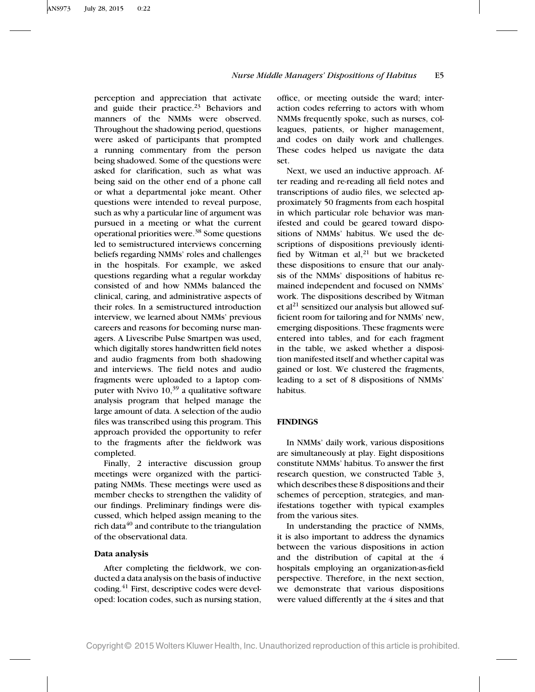perception and appreciation that activate and guide their practice. $23$  Behaviors and manners of the NMMs were observed. Throughout the shadowing period, questions were asked of participants that prompted a running commentary from the person being shadowed. Some of the questions were asked for clarification, such as what was being said on the other end of a phone call or what a departmental joke meant. Other questions were intended to reveal purpose, such as why a particular line of argument was pursued in a meeting or what the current operational priorities were.<sup>38</sup> Some questions led to semistructured interviews concerning beliefs regarding NMMs' roles and challenges in the hospitals. For example, we asked questions regarding what a regular workday consisted of and how NMMs balanced the clinical, caring, and administrative aspects of their roles. In a semistructured introduction interview, we learned about NMMs' previous careers and reasons for becoming nurse managers. A Livescribe Pulse Smartpen was used, which digitally stores handwritten field notes and audio fragments from both shadowing and interviews. The field notes and audio fragments were uploaded to a laptop computer with Nvivo  $10<sup>39</sup>$  a qualitative software analysis program that helped manage the large amount of data. A selection of the audio files was transcribed using this program. This approach provided the opportunity to refer to the fragments after the fieldwork was completed.

Finally, 2 interactive discussion group meetings were organized with the participating NMMs. These meetings were used as member checks to strengthen the validity of our findings. Preliminary findings were discussed, which helped assign meaning to the rich data $40$  and contribute to the triangulation of the observational data.

## **Data analysis**

After completing the fieldwork, we conducted a data analysis on the basis of inductive coding.<sup>41</sup> First, descriptive codes were developed: location codes, such as nursing station, office, or meeting outside the ward; interaction codes referring to actors with whom NMMs frequently spoke, such as nurses, colleagues, patients, or higher management, and codes on daily work and challenges. These codes helped us navigate the data set.

Next, we used an inductive approach. After reading and re-reading all field notes and transcriptions of audio files, we selected approximately 50 fragments from each hospital in which particular role behavior was manifested and could be geared toward dispositions of NMMs' habitus. We used the descriptions of dispositions previously identified by Witman et  $al$ ,<sup>21</sup> but we bracketed these dispositions to ensure that our analysis of the NMMs' dispositions of habitus remained independent and focused on NMMs' work. The dispositions described by Witman et al<sup>21</sup> sensitized our analysis but allowed sufficient room for tailoring and for NMMs' new, emerging dispositions. These fragments were entered into tables, and for each fragment in the table, we asked whether a disposition manifested itself and whether capital was gained or lost. We clustered the fragments, leading to a set of 8 dispositions of NMMs' habitus.

## **FINDINGS**

In NMMs' daily work, various dispositions are simultaneously at play. Eight dispositions constitute NMMs' habitus. To answer the first research question, we constructed Table 3, which describes these 8 dispositions and their schemes of perception, strategies, and manifestations together with typical examples from the various sites.

In understanding the practice of NMMs, it is also important to address the dynamics between the various dispositions in action and the distribution of capital at the 4 hospitals employing an organization-as-field perspective. Therefore, in the next section, we demonstrate that various dispositions were valued differently at the 4 sites and that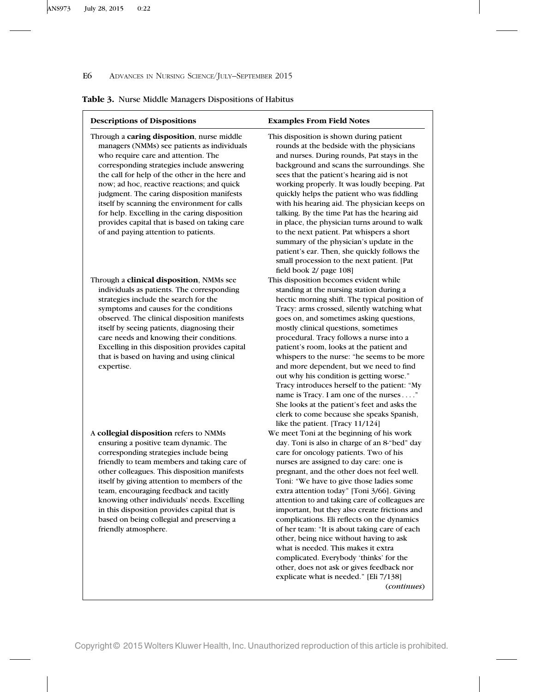| <b>Descriptions of Dispositions</b>                                                                                                                                                                                                                                                                                                                                                                                                                                                                                    | <b>Examples From Field Notes</b>                                                                                                                                                                                                                                                                                                                                                                                                                                                                                                                                                                                                                                                                                                                                        |
|------------------------------------------------------------------------------------------------------------------------------------------------------------------------------------------------------------------------------------------------------------------------------------------------------------------------------------------------------------------------------------------------------------------------------------------------------------------------------------------------------------------------|-------------------------------------------------------------------------------------------------------------------------------------------------------------------------------------------------------------------------------------------------------------------------------------------------------------------------------------------------------------------------------------------------------------------------------------------------------------------------------------------------------------------------------------------------------------------------------------------------------------------------------------------------------------------------------------------------------------------------------------------------------------------------|
| Through a caring disposition, nurse middle<br>managers (NMMs) see patients as individuals<br>who require care and attention. The<br>corresponding strategies include answering<br>the call for help of the other in the here and<br>now; ad hoc, reactive reactions; and quick<br>judgment. The caring disposition manifests<br>itself by scanning the environment for calls<br>for help. Excelling in the caring disposition<br>provides capital that is based on taking care<br>of and paying attention to patients. | This disposition is shown during patient<br>rounds at the bedside with the physicians<br>and nurses. During rounds, Pat stays in the<br>background and scans the surroundings. She<br>sees that the patient's hearing aid is not<br>working properly. It was loudly beeping. Pat<br>quickly helps the patient who was fiddling<br>with his hearing aid. The physician keeps on<br>talking. By the time Pat has the hearing aid<br>in place, the physician turns around to walk<br>to the next patient. Pat whispers a short<br>summary of the physician's update in the<br>patient's ear. Then, she quickly follows the<br>small procession to the next patient. [Pat<br>field book 2/ page 108]                                                                        |
| Through a clinical disposition, NMMs see<br>individuals as patients. The corresponding<br>strategies include the search for the<br>symptoms and causes for the conditions<br>observed. The clinical disposition manifests<br>itself by seeing patients, diagnosing their<br>care needs and knowing their conditions.<br>Excelling in this disposition provides capital                                                                                                                                                 | This disposition becomes evident while<br>standing at the nursing station during a<br>hectic morning shift. The typical position of<br>Tracy: arms crossed, silently watching what<br>goes on, and sometimes asking questions,<br>mostly clinical questions, sometimes<br>procedural. Tracy follows a nurse into a<br>patient's room, looks at the patient and                                                                                                                                                                                                                                                                                                                                                                                                          |
| that is based on having and using clinical<br>expertise.                                                                                                                                                                                                                                                                                                                                                                                                                                                               | whispers to the nurse: "he seems to be more<br>and more dependent, but we need to find<br>out why his condition is getting worse."<br>Tracy introduces herself to the patient: "My<br>name is Tracy. I am one of the nurses"<br>She looks at the patient's feet and asks the<br>clerk to come because she speaks Spanish,<br>like the patient. [Tracy 11/124]                                                                                                                                                                                                                                                                                                                                                                                                           |
| A collegial disposition refers to NMMs<br>ensuring a positive team dynamic. The<br>corresponding strategies include being<br>friendly to team members and taking care of<br>other colleagues. This disposition manifests<br>itself by giving attention to members of the<br>team, encouraging feedback and tacitly<br>knowing other individuals' needs. Excelling<br>in this disposition provides capital that is<br>based on being collegial and preserving a<br>friendly atmosphere.                                 | We meet Toni at the beginning of his work<br>day. Toni is also in charge of an 8-"bed" day<br>care for oncology patients. Two of his<br>nurses are assigned to day care: one is<br>pregnant, and the other does not feel well.<br>Toni: "We have to give those ladies some<br>extra attention today" [Toni 3/66]. Giving<br>attention to and taking care of colleagues are<br>important, but they also create frictions and<br>complications. Eli reflects on the dynamics<br>of her team: "It is about taking care of each<br>other, being nice without having to ask<br>what is needed. This makes it extra<br>complicated. Everybody 'thinks' for the<br>other, does not ask or gives feedback nor<br>explicate what is needed." [Eli 7/138]<br>( <i>continues</i> ) |

# **Table 3.** Nurse Middle Managers Dispositions of Habitus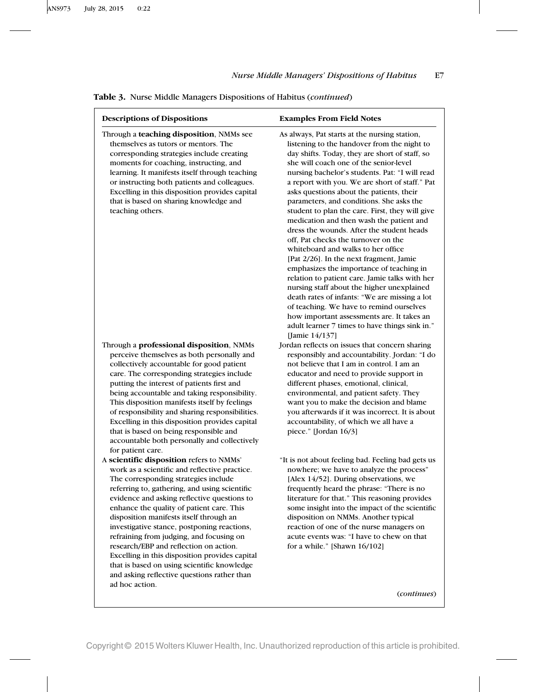| <b>Descriptions of Dispositions</b>                                                                                                                                                                                                                                                                                                                                                                                                                                                                                                                                                                                                                   | <b>Examples From Field Notes</b>                                                                                                                                                                                                                                                                                                                                                                                                                                                                                                                                                                                                                                                                                                                                                                                                                                                                                                                                                                                       |
|-------------------------------------------------------------------------------------------------------------------------------------------------------------------------------------------------------------------------------------------------------------------------------------------------------------------------------------------------------------------------------------------------------------------------------------------------------------------------------------------------------------------------------------------------------------------------------------------------------------------------------------------------------|------------------------------------------------------------------------------------------------------------------------------------------------------------------------------------------------------------------------------------------------------------------------------------------------------------------------------------------------------------------------------------------------------------------------------------------------------------------------------------------------------------------------------------------------------------------------------------------------------------------------------------------------------------------------------------------------------------------------------------------------------------------------------------------------------------------------------------------------------------------------------------------------------------------------------------------------------------------------------------------------------------------------|
| Through a teaching disposition, NMMs see<br>themselves as tutors or mentors. The<br>corresponding strategies include creating<br>moments for coaching, instructing, and<br>learning. It manifests itself through teaching<br>or instructing both patients and colleagues.<br>Excelling in this disposition provides capital<br>that is based on sharing knowledge and<br>teaching others.                                                                                                                                                                                                                                                             | As always, Pat starts at the nursing station,<br>listening to the handover from the night to<br>day shifts. Today, they are short of staff, so<br>she will coach one of the senior-level<br>nursing bachelor's students. Pat: "I will read<br>a report with you. We are short of staff." Pat<br>asks questions about the patients, their<br>parameters, and conditions. She asks the<br>student to plan the care. First, they will give<br>medication and then wash the patient and<br>dress the wounds. After the student heads<br>off, Pat checks the turnover on the<br>whiteboard and walks to her office<br>[Pat 2/26]. In the next fragment, Jamie<br>emphasizes the importance of teaching in<br>relation to patient care. Jamie talks with her<br>nursing staff about the higher unexplained<br>death rates of infants: "We are missing a lot<br>of teaching. We have to remind ourselves<br>how important assessments are. It takes an<br>adult learner 7 times to have things sink in."<br>[Jamie $14/137$ ] |
| Through a professional disposition, NMMs<br>perceive themselves as both personally and<br>collectively accountable for good patient<br>care. The corresponding strategies include<br>putting the interest of patients first and<br>being accountable and taking responsibility.<br>This disposition manifests itself by feelings<br>of responsibility and sharing responsibilities.<br>Excelling in this disposition provides capital<br>that is based on being responsible and<br>accountable both personally and collectively                                                                                                                       | Jordan reflects on issues that concern sharing<br>responsibly and accountability. Jordan: "I do<br>not believe that I am in control. I am an<br>educator and need to provide support in<br>different phases, emotional, clinical,<br>environmental, and patient safety. They<br>want you to make the decision and blame<br>you afterwards if it was incorrect. It is about<br>accountability, of which we all have a<br>piece." [Jordan 16/3]                                                                                                                                                                                                                                                                                                                                                                                                                                                                                                                                                                          |
| for patient care.<br>A scientific disposition refers to NMMs'<br>work as a scientific and reflective practice.<br>The corresponding strategies include<br>referring to, gathering, and using scientific<br>evidence and asking reflective questions to<br>enhance the quality of patient care. This<br>disposition manifests itself through an<br>investigative stance, postponing reactions,<br>refraining from judging, and focusing on<br>research/EBP and reflection on action.<br>Excelling in this disposition provides capital<br>that is based on using scientific knowledge<br>and asking reflective questions rather than<br>ad hoc action. | "It is not about feeling bad. Feeling bad gets us<br>nowhere; we have to analyze the process"<br>[Alex 14/52]. During observations, we<br>frequently heard the phrase: "There is no<br>literature for that." This reasoning provides<br>some insight into the impact of the scientific<br>disposition on NMMs. Another typical<br>reaction of one of the nurse managers on<br>acute events was: "I have to chew on that<br>for a while." [Shawn 16/102]                                                                                                                                                                                                                                                                                                                                                                                                                                                                                                                                                                |
|                                                                                                                                                                                                                                                                                                                                                                                                                                                                                                                                                                                                                                                       | (continues)                                                                                                                                                                                                                                                                                                                                                                                                                                                                                                                                                                                                                                                                                                                                                                                                                                                                                                                                                                                                            |

**Table 3.** Nurse Middle Managers Dispositions of Habitus (*continued*)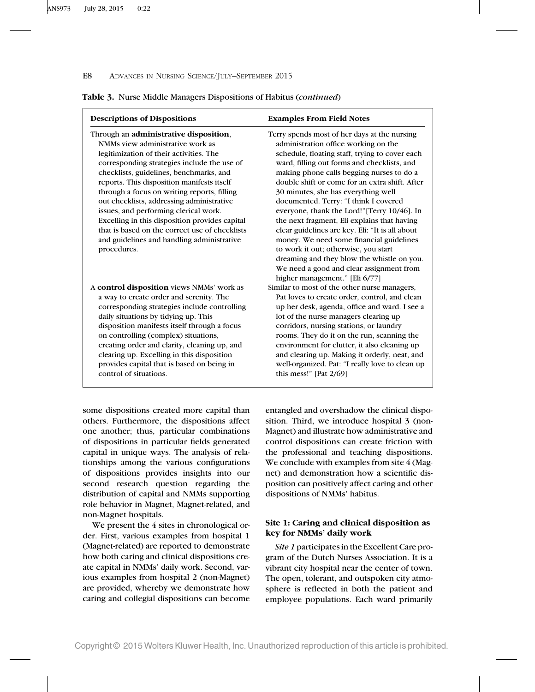| <b>Descriptions of Dispositions</b>                                                                                                                                                                                                                                                                                                                                                                                                                                                                                                                                 | <b>Examples From Field Notes</b>                                                                                                                                                                                                                                                                                                                                                                                                                                                                                                                                                                                                                                                                     |
|---------------------------------------------------------------------------------------------------------------------------------------------------------------------------------------------------------------------------------------------------------------------------------------------------------------------------------------------------------------------------------------------------------------------------------------------------------------------------------------------------------------------------------------------------------------------|------------------------------------------------------------------------------------------------------------------------------------------------------------------------------------------------------------------------------------------------------------------------------------------------------------------------------------------------------------------------------------------------------------------------------------------------------------------------------------------------------------------------------------------------------------------------------------------------------------------------------------------------------------------------------------------------------|
| Through an administrative disposition,<br>NMMs view administrative work as<br>legitimization of their activities. The<br>corresponding strategies include the use of<br>checklists, guidelines, benchmarks, and<br>reports. This disposition manifests itself<br>through a focus on writing reports, filling<br>out checklists, addressing administrative<br>issues, and performing clerical work.<br>Excelling in this disposition provides capital<br>that is based on the correct use of checklists<br>and guidelines and handling administrative<br>procedures. | Terry spends most of her days at the nursing<br>administration office working on the<br>schedule, floating staff, trying to cover each<br>ward, filling out forms and checklists, and<br>making phone calls begging nurses to do a<br>double shift or come for an extra shift. After<br>30 minutes, she has everything well<br>documented. Terry: "I think I covered<br>everyone, thank the Lord!" [Terry 10/46]. In<br>the next fragment, Eli explains that having<br>clear guidelines are key. Eli: "It is all about<br>money. We need some financial guidelines<br>to work it out; otherwise, you start<br>dreaming and they blow the whistle on you.<br>We need a good and clear assignment from |
| A control disposition views NMMs' work as<br>a way to create order and serenity. The<br>corresponding strategies include controlling<br>daily situations by tidying up. This<br>disposition manifests itself through a focus<br>on controlling (complex) situations,<br>creating order and clarity, cleaning up, and<br>clearing up. Excelling in this disposition<br>provides capital that is based on being in<br>control of situations.                                                                                                                          | higher management." [Eli 6/77]<br>Similar to most of the other nurse managers,<br>Pat loves to create order, control, and clean<br>up her desk, agenda, office and ward. I see a<br>lot of the nurse managers clearing up<br>corridors, nursing stations, or laundry<br>rooms. They do it on the run, scanning the<br>environment for clutter, it also cleaning up<br>and clearing up. Making it orderly, neat, and<br>well-organized. Pat: "I really love to clean up<br>this mess!" [Pat $2/69$ ]                                                                                                                                                                                                  |

**Table 3.** Nurse Middle Managers Dispositions of Habitus (*continued*)

some dispositions created more capital than others. Furthermore, the dispositions affect one another; thus, particular combinations of dispositions in particular fields generated capital in unique ways. The analysis of relationships among the various configurations of dispositions provides insights into our second research question regarding the distribution of capital and NMMs supporting role behavior in Magnet, Magnet-related, and non-Magnet hospitals.

We present the 4 sites in chronological order. First, various examples from hospital 1 (Magnet-related) are reported to demonstrate how both caring and clinical dispositions create capital in NMMs' daily work. Second, various examples from hospital 2 (non-Magnet) are provided, whereby we demonstrate how caring and collegial dispositions can become

entangled and overshadow the clinical disposition. Third, we introduce hospital 3 (non-Magnet) and illustrate how administrative and control dispositions can create friction with the professional and teaching dispositions. We conclude with examples from site 4 (Magnet) and demonstration how a scientific disposition can positively affect caring and other dispositions of NMMs' habitus.

## **Site 1: Caring and clinical disposition as key for NMMs' daily work**

*Site 1* participates in the Excellent Care program of the Dutch Nurses Association. It is a vibrant city hospital near the center of town. The open, tolerant, and outspoken city atmosphere is reflected in both the patient and employee populations. Each ward primarily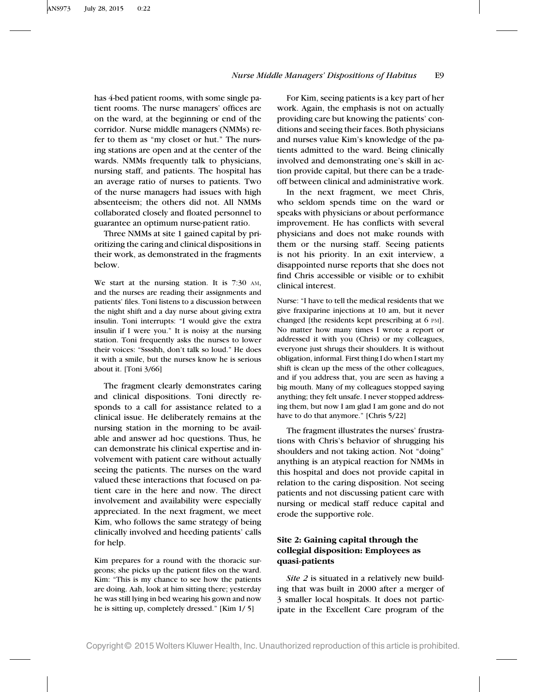has 4-bed patient rooms, with some single patient rooms. The nurse managers' offices are on the ward, at the beginning or end of the corridor. Nurse middle managers (NMMs) refer to them as "my closet or hut." The nursing stations are open and at the center of the wards. NMMs frequently talk to physicians, nursing staff, and patients. The hospital has an average ratio of nurses to patients. Two of the nurse managers had issues with high absenteeism; the others did not. All NMMs collaborated closely and floated personnel to guarantee an optimum nurse-patient ratio.

Three NMMs at site 1 gained capital by prioritizing the caring and clinical dispositions in their work, as demonstrated in the fragments below.

We start at the nursing station. It is 7:30 AM, and the nurses are reading their assignments and patients' files. Toni listens to a discussion between the night shift and a day nurse about giving extra insulin. Toni interrupts: "I would give the extra insulin if I were you." It is noisy at the nursing station. Toni frequently asks the nurses to lower their voices: "Sssshh, don't talk so loud." He does it with a smile, but the nurses know he is serious about it. [Toni 3/66]

The fragment clearly demonstrates caring and clinical dispositions. Toni directly responds to a call for assistance related to a clinical issue. He deliberately remains at the nursing station in the morning to be available and answer ad hoc questions. Thus, he can demonstrate his clinical expertise and involvement with patient care without actually seeing the patients. The nurses on the ward valued these interactions that focused on patient care in the here and now. The direct involvement and availability were especially appreciated. In the next fragment, we meet Kim, who follows the same strategy of being clinically involved and heeding patients' calls for help.

Kim prepares for a round with the thoracic surgeons; she picks up the patient files on the ward. Kim: "This is my chance to see how the patients are doing. Aah, look at him sitting there; yesterday he was still lying in bed wearing his gown and now he is sitting up, completely dressed." [Kim 1/ 5]

For Kim, seeing patients is a key part of her work. Again, the emphasis is not on actually providing care but knowing the patients' conditions and seeing their faces. Both physicians and nurses value Kim's knowledge of the patients admitted to the ward. Being clinically involved and demonstrating one's skill in action provide capital, but there can be a tradeoff between clinical and administrative work.

In the next fragment, we meet Chris, who seldom spends time on the ward or speaks with physicians or about performance improvement. He has conflicts with several physicians and does not make rounds with them or the nursing staff. Seeing patients is not his priority. In an exit interview, a disappointed nurse reports that she does not find Chris accessible or visible or to exhibit clinical interest.

Nurse: "I have to tell the medical residents that we give fraxiparine injections at 10 am, but it never changed [the residents kept prescribing at 6 PM]. No matter how many times I wrote a report or addressed it with you (Chris) or my colleagues, everyone just shrugs their shoulders. It is without obligation, informal. First thing I do when I start my shift is clean up the mess of the other colleagues, and if you address that, you are seen as having a big mouth. Many of my colleagues stopped saying anything; they felt unsafe. I never stopped addressing them, but now I am glad I am gone and do not have to do that anymore." [Chris 5/22]

The fragment illustrates the nurses' frustrations with Chris's behavior of shrugging his shoulders and not taking action. Not "doing" anything is an atypical reaction for NMMs in this hospital and does not provide capital in relation to the caring disposition. Not seeing patients and not discussing patient care with nursing or medical staff reduce capital and erode the supportive role.

## **Site 2: Gaining capital through the collegial disposition: Employees as quasi-patients**

*Site 2* is situated in a relatively new building that was built in 2000 after a merger of 3 smaller local hospitals. It does not participate in the Excellent Care program of the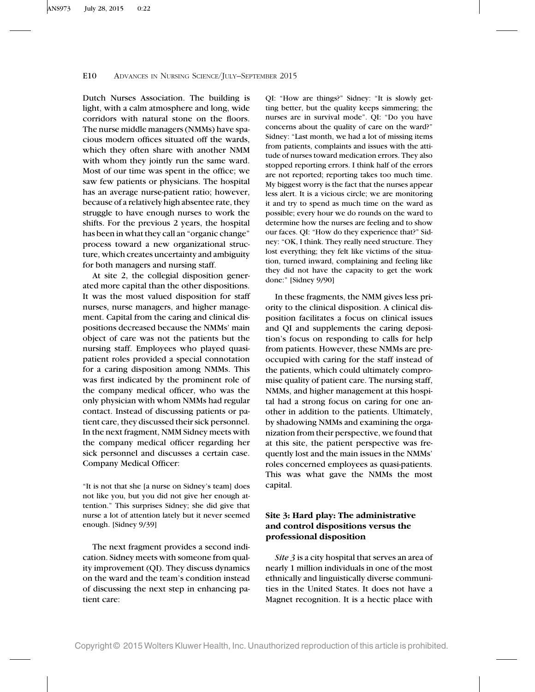Dutch Nurses Association. The building is light, with a calm atmosphere and long, wide corridors with natural stone on the floors. The nurse middle managers (NMMs) have spacious modern offices situated off the wards, which they often share with another NMM with whom they jointly run the same ward. Most of our time was spent in the office; we saw few patients or physicians. The hospital has an average nurse-patient ratio; however, because of a relatively high absentee rate, they struggle to have enough nurses to work the shifts. For the previous 2 years, the hospital has been in what they call an "organic change" process toward a new organizational structure, which creates uncertainty and ambiguity for both managers and nursing staff.

At site 2, the collegial disposition generated more capital than the other dispositions. It was the most valued disposition for staff nurses, nurse managers, and higher management. Capital from the caring and clinical dispositions decreased because the NMMs' main object of care was not the patients but the nursing staff. Employees who played quasipatient roles provided a special connotation for a caring disposition among NMMs. This was first indicated by the prominent role of the company medical officer, who was the only physician with whom NMMs had regular contact. Instead of discussing patients or patient care, they discussed their sick personnel. In the next fragment, NMM Sidney meets with the company medical officer regarding her sick personnel and discusses a certain case. Company Medical Officer:

"It is not that she [a nurse on Sidney's team] does not like you, but you did not give her enough attention." This surprises Sidney; she did give that nurse a lot of attention lately but it never seemed enough. [Sidney 9/39]

The next fragment provides a second indication. Sidney meets with someone from quality improvement (QI). They discuss dynamics on the ward and the team's condition instead of discussing the next step in enhancing patient care:

QI: "How are things?" Sidney: "It is slowly getting better, but the quality keeps simmering; the nurses are in survival mode". QI: "Do you have concerns about the quality of care on the ward?" Sidney: "Last month, we had a lot of missing items from patients, complaints and issues with the attitude of nurses toward medication errors. They also stopped reporting errors. I think half of the errors are not reported; reporting takes too much time. My biggest worry is the fact that the nurses appear less alert. It is a vicious circle; we are monitoring it and try to spend as much time on the ward as possible; every hour we do rounds on the ward to determine how the nurses are feeling and to show our faces. QI: "How do they experience that?" Sidney: "OK, I think. They really need structure. They lost everything; they felt like victims of the situation, turned inward, complaining and feeling like they did not have the capacity to get the work done:" [Sidney 9/90]

In these fragments, the NMM gives less priority to the clinical disposition. A clinical disposition facilitates a focus on clinical issues and QI and supplements the caring deposition's focus on responding to calls for help from patients. However, these NMMs are preoccupied with caring for the staff instead of the patients, which could ultimately compromise quality of patient care. The nursing staff, NMMs, and higher management at this hospital had a strong focus on caring for one another in addition to the patients. Ultimately, by shadowing NMMs and examining the organization from their perspective, we found that at this site, the patient perspective was frequently lost and the main issues in the NMMs' roles concerned employees as quasi-patients. This was what gave the NMMs the most capital.

# **Site 3: Hard play: The administrative and control dispositions versus the professional disposition**

*Site 3* is a city hospital that serves an area of nearly 1 million individuals in one of the most ethnically and linguistically diverse communities in the United States. It does not have a Magnet recognition. It is a hectic place with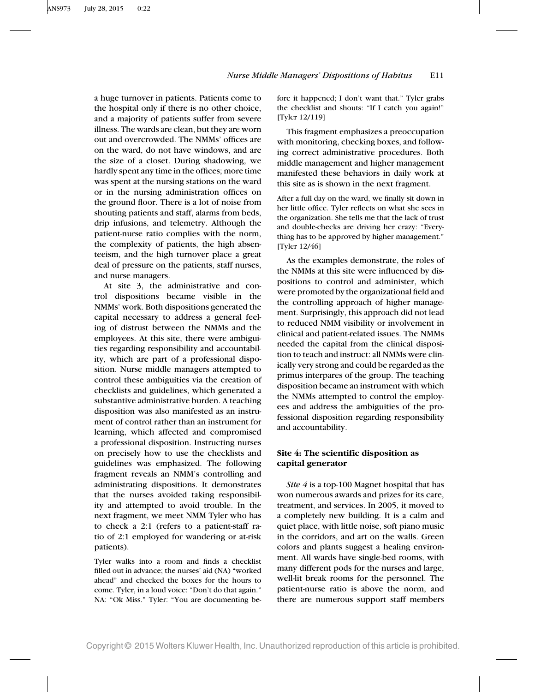a huge turnover in patients. Patients come to the hospital only if there is no other choice, and a majority of patients suffer from severe illness. The wards are clean, but they are worn out and overcrowded. The NMMs' offices are on the ward, do not have windows, and are the size of a closet. During shadowing, we hardly spent any time in the offices; more time was spent at the nursing stations on the ward or in the nursing administration offices on the ground floor. There is a lot of noise from shouting patients and staff, alarms from beds, drip infusions, and telemetry. Although the patient-nurse ratio complies with the norm, the complexity of patients, the high absenteeism, and the high turnover place a great deal of pressure on the patients, staff nurses, and nurse managers.

At site 3, the administrative and control dispositions became visible in the NMMs' work. Both dispositions generated the capital necessary to address a general feeling of distrust between the NMMs and the employees. At this site, there were ambiguities regarding responsibility and accountability, which are part of a professional disposition. Nurse middle managers attempted to control these ambiguities via the creation of checklists and guidelines, which generated a substantive administrative burden. A teaching disposition was also manifested as an instrument of control rather than an instrument for learning, which affected and compromised a professional disposition. Instructing nurses on precisely how to use the checklists and guidelines was emphasized. The following fragment reveals an NMM's controlling and administrating dispositions. It demonstrates that the nurses avoided taking responsibility and attempted to avoid trouble. In the next fragment, we meet NMM Tyler who has to check a 2:1 (refers to a patient-staff ratio of 2:1 employed for wandering or at-risk patients).

Tyler walks into a room and finds a checklist filled out in advance; the nurses' aid (NA) "worked ahead" and checked the boxes for the hours to come. Tyler, in a loud voice: "Don't do that again." NA: "Ok Miss." Tyler: "You are documenting before it happened; I don't want that." Tyler grabs the checklist and shouts: "If I catch you again!" [Tyler 12/119]

This fragment emphasizes a preoccupation with monitoring, checking boxes, and following correct administrative procedures. Both middle management and higher management manifested these behaviors in daily work at this site as is shown in the next fragment.

After a full day on the ward, we finally sit down in her little office. Tyler reflects on what she sees in the organization. She tells me that the lack of trust and double-checks are driving her crazy: "Everything has to be approved by higher management." [Tyler 12/46]

As the examples demonstrate, the roles of the NMMs at this site were influenced by dispositions to control and administer, which were promoted by the organizational field and the controlling approach of higher management. Surprisingly, this approach did not lead to reduced NMM visibility or involvement in clinical and patient-related issues. The NMMs needed the capital from the clinical disposition to teach and instruct: all NMMs were clinically very strong and could be regarded as the primus interpares of the group. The teaching disposition became an instrument with which the NMMs attempted to control the employees and address the ambiguities of the professional disposition regarding responsibility and accountability.

## **Site 4: The scientific disposition as capital generator**

*Site 4* is a top-100 Magnet hospital that has won numerous awards and prizes for its care, treatment, and services. In 2005, it moved to a completely new building. It is a calm and quiet place, with little noise, soft piano music in the corridors, and art on the walls. Green colors and plants suggest a healing environment. All wards have single-bed rooms, with many different pods for the nurses and large, well-lit break rooms for the personnel. The patient-nurse ratio is above the norm, and there are numerous support staff members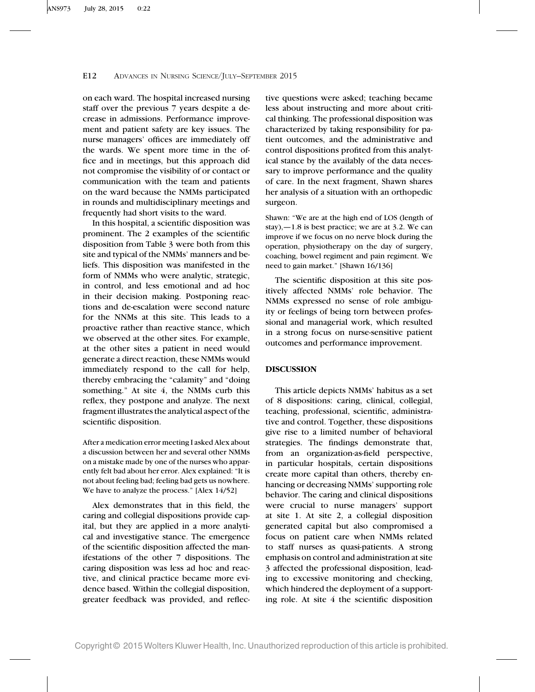on each ward. The hospital increased nursing staff over the previous 7 years despite a decrease in admissions. Performance improvement and patient safety are key issues. The nurse managers' offices are immediately off the wards. We spent more time in the office and in meetings, but this approach did not compromise the visibility of or contact or communication with the team and patients on the ward because the NMMs participated in rounds and multidisciplinary meetings and frequently had short visits to the ward.

In this hospital, a scientific disposition was prominent. The 2 examples of the scientific disposition from Table 3 were both from this site and typical of the NMMs' manners and beliefs. This disposition was manifested in the form of NMMs who were analytic, strategic, in control, and less emotional and ad hoc in their decision making. Postponing reactions and de-escalation were second nature for the NNMs at this site. This leads to a proactive rather than reactive stance, which we observed at the other sites. For example, at the other sites a patient in need would generate a direct reaction, these NMMs would immediately respond to the call for help, thereby embracing the "calamity" and "doing something." At site 4, the NMMs curb this reflex, they postpone and analyze. The next fragment illustrates the analytical aspect of the scientific disposition.

After a medication error meeting I asked Alex about a discussion between her and several other NMMs on a mistake made by one of the nurses who apparently felt bad about her error. Alex explained: "It is not about feeling bad; feeling bad gets us nowhere. We have to analyze the process." [Alex 14/52]

Alex demonstrates that in this field, the caring and collegial dispositions provide capital, but they are applied in a more analytical and investigative stance. The emergence of the scientific disposition affected the manifestations of the other 7 dispositions. The caring disposition was less ad hoc and reactive, and clinical practice became more evidence based. Within the collegial disposition, greater feedback was provided, and reflective questions were asked; teaching became less about instructing and more about critical thinking. The professional disposition was characterized by taking responsibility for patient outcomes, and the administrative and control dispositions profited from this analytical stance by the availably of the data necessary to improve performance and the quality of care. In the next fragment, Shawn shares her analysis of a situation with an orthopedic surgeon.

Shawn: "We are at the high end of LOS (length of stay), $-1.8$  is best practice; we are at 3.2. We can improve if we focus on no nerve block during the operation, physiotherapy on the day of surgery, coaching, bowel regiment and pain regiment. We need to gain market." [Shawn 16/136]

The scientific disposition at this site positively affected NMMs' role behavior. The NMMs expressed no sense of role ambiguity or feelings of being torn between professional and managerial work, which resulted in a strong focus on nurse-sensitive patient outcomes and performance improvement.

## **DISCUSSION**

This article depicts NMMs' habitus as a set of 8 dispositions: caring, clinical, collegial, teaching, professional, scientific, administrative and control. Together, these dispositions give rise to a limited number of behavioral strategies. The findings demonstrate that, from an organization-as-field perspective, in particular hospitals, certain dispositions create more capital than others, thereby enhancing or decreasing NMMs' supporting role behavior. The caring and clinical dispositions were crucial to nurse managers' support at site 1. At site 2, a collegial disposition generated capital but also compromised a focus on patient care when NMMs related to staff nurses as quasi-patients. A strong emphasis on control and administration at site 3 affected the professional disposition, leading to excessive monitoring and checking, which hindered the deployment of a supporting role. At site 4 the scientific disposition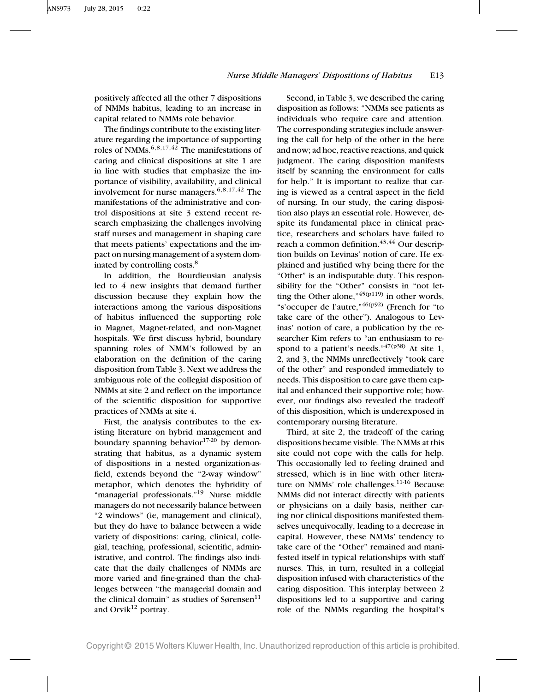positively affected all the other 7 dispositions of NMMs habitus, leading to an increase in capital related to NMMs role behavior.

The findings contribute to the existing literature regarding the importance of supporting roles of NMMs.<sup>6,8,17,42</sup> The manifestations of caring and clinical dispositions at site 1 are in line with studies that emphasize the importance of visibility, availability, and clinical involvement for nurse managers.<sup>6,8,17,42</sup> The manifestations of the administrative and control dispositions at site 3 extend recent research emphasizing the challenges involving staff nurses and management in shaping care that meets patients' expectations and the impact on nursing management of a system dominated by controlling costs.8

In addition, the Bourdieusian analysis led to 4 new insights that demand further discussion because they explain how the interactions among the various dispositions of habitus influenced the supporting role in Magnet, Magnet-related, and non-Magnet hospitals. We first discuss hybrid, boundary spanning roles of NMM's followed by an elaboration on the definition of the caring disposition from Table 3. Next we address the ambiguous role of the collegial disposition of NMMs at site 2 and reflect on the importance of the scientific disposition for supportive practices of NMMs at site 4.

First, the analysis contributes to the existing literature on hybrid management and boundary spanning behavior<sup>17-20</sup> by demonstrating that habitus, as a dynamic system of dispositions in a nested organization-asfield, extends beyond the "2-way window" metaphor, which denotes the hybridity of "managerial professionals."<sup>19</sup> Nurse middle managers do not necessarily balance between "2 windows" (ie, management and clinical), but they do have to balance between a wide variety of dispositions: caring, clinical, collegial, teaching, professional, scientific, administrative, and control. The findings also indicate that the daily challenges of NMMs are more varied and fine-grained than the challenges between "the managerial domain and the clinical domain" as studies of Sørensen $11$ and Orvik $12$  portray.

Second, in Table 3, we described the caring disposition as follows: "NMMs see patients as individuals who require care and attention. The corresponding strategies include answering the call for help of the other in the here and now; ad hoc, reactive reactions, and quick judgment. The caring disposition manifests itself by scanning the environment for calls for help." It is important to realize that caring is viewed as a central aspect in the field of nursing. In our study, the caring disposition also plays an essential role. However, despite its fundamental place in clinical practice, researchers and scholars have failed to reach a common definition. $43,44$  Our description builds on Levinas' notion of care. He explained and justified why being there for the "Other" is an indisputable duty. This responsibility for the "Other" consists in "not letting the Other alone,"45(p119) in other words, "s'occuper de l'autre,"46(p92) (French for "to take care of the other"). Analogous to Levinas' notion of care, a publication by the researcher Kim refers to "an enthusiasm to respond to a patient's needs." $47(p38)$  At site 1, 2, and 3, the NMMs unreflectively "took care of the other" and responded immediately to needs. This disposition to care gave them capital and enhanced their supportive role; however, our findings also revealed the tradeoff of this disposition, which is underexposed in contemporary nursing literature.

Third, at site 2, the tradeoff of the caring dispositions became visible. The NMMs at this site could not cope with the calls for help. This occasionally led to feeling drained and stressed, which is in line with other literature on NMMs' role challenges.<sup>11-16</sup> Because NMMs did not interact directly with patients or physicians on a daily basis, neither caring nor clinical dispositions manifested themselves unequivocally, leading to a decrease in capital. However, these NMMs' tendency to take care of the "Other" remained and manifested itself in typical relationships with staff nurses. This, in turn, resulted in a collegial disposition infused with characteristics of the caring disposition. This interplay between 2 dispositions led to a supportive and caring role of the NMMs regarding the hospital's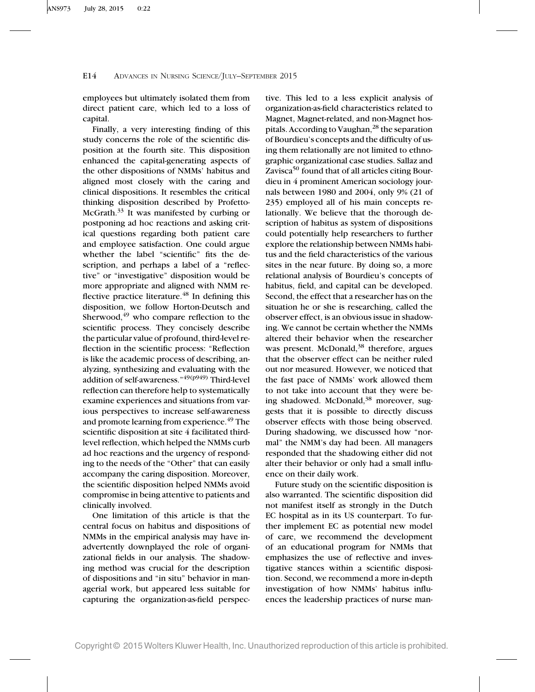employees but ultimately isolated them from direct patient care, which led to a loss of capital.

Finally, a very interesting finding of this study concerns the role of the scientific disposition at the fourth site. This disposition enhanced the capital-generating aspects of the other dispositions of NMMs' habitus and aligned most closely with the caring and clinical dispositions. It resembles the critical thinking disposition described by Profetto-McGrath.<sup>33</sup> It was manifested by curbing or postponing ad hoc reactions and asking critical questions regarding both patient care and employee satisfaction. One could argue whether the label "scientific" fits the description, and perhaps a label of a "reflective" or "investigative" disposition would be more appropriate and aligned with NMM reflective practice literature.<sup>48</sup> In defining this disposition, we follow Horton-Deutsch and Sherwood, $49$  who compare reflection to the scientific process. They concisely describe the particular value of profound, third-level reflection in the scientific process: "Reflection is like the academic process of describing, analyzing, synthesizing and evaluating with the addition of self-awareness."49(p949) Third-level reflection can therefore help to systematically examine experiences and situations from various perspectives to increase self-awareness and promote learning from experience.<sup>49</sup> The scientific disposition at site 4 facilitated thirdlevel reflection, which helped the NMMs curb ad hoc reactions and the urgency of responding to the needs of the "Other" that can easily accompany the caring disposition. Moreover, the scientific disposition helped NMMs avoid compromise in being attentive to patients and clinically involved.

One limitation of this article is that the central focus on habitus and dispositions of NMMs in the empirical analysis may have inadvertently downplayed the role of organizational fields in our analysis. The shadowing method was crucial for the description of dispositions and "in situ" behavior in managerial work, but appeared less suitable for capturing the organization-as-field perspective. This led to a less explicit analysis of organization-as-field characteristics related to Magnet, Magnet-related, and non-Magnet hospitals. According to Vaughan,  $^{28}$  the separation of Bourdieu's concepts and the difficulty of using them relationally are not limited to ethnographic organizational case studies. Sallaz and Zavisca<sup>50</sup> found that of all articles citing Bourdieu in 4 prominent American sociology journals between 1980 and 2004, only 9% (21 of 235) employed all of his main concepts relationally. We believe that the thorough description of habitus as system of dispositions could potentially help researchers to further explore the relationship between NMMs habitus and the field characteristics of the various sites in the near future. By doing so, a more relational analysis of Bourdieu's concepts of habitus, field, and capital can be developed. Second, the effect that a researcher has on the situation he or she is researching, called the observer effect, is an obvious issue in shadowing. We cannot be certain whether the NMMs altered their behavior when the researcher was present. McDonald,<sup>38</sup> therefore, argues that the observer effect can be neither ruled out nor measured. However, we noticed that the fast pace of NMMs' work allowed them to not take into account that they were being shadowed. McDonald, $38$  moreover, suggests that it is possible to directly discuss observer effects with those being observed. During shadowing, we discussed how "normal" the NMM's day had been. All managers responded that the shadowing either did not alter their behavior or only had a small influence on their daily work.

Future study on the scientific disposition is also warranted. The scientific disposition did not manifest itself as strongly in the Dutch EC hospital as in its US counterpart. To further implement EC as potential new model of care, we recommend the development of an educational program for NMMs that emphasizes the use of reflective and investigative stances within a scientific disposition. Second, we recommend a more in-depth investigation of how NMMs' habitus influences the leadership practices of nurse man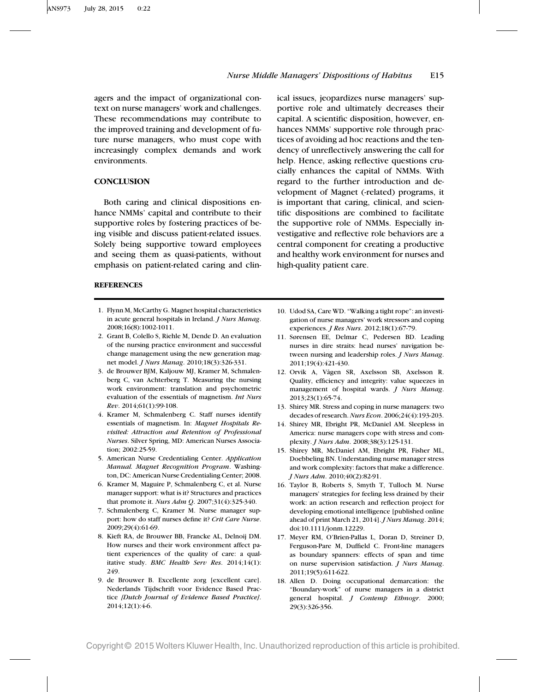agers and the impact of organizational context on nurse managers' work and challenges. These recommendations may contribute to the improved training and development of future nurse managers, who must cope with increasingly complex demands and work environments.

## **CONCLUSION**

Both caring and clinical dispositions enhance NMMs' capital and contribute to their supportive roles by fostering practices of being visible and discuss patient-related issues. Solely being supportive toward employees and seeing them as quasi-patients, without emphasis on patient-related caring and clin-

#### **REFERENCES**

- 1. Flynn M, McCarthy G. Magnet hospital characteristics in acute general hospitals in Ireland. *J Nurs Manag*. 2008;16(8):1002-1011.
- 2. Grant B, Colello S, Riehle M, Dende D. An evaluation of the nursing practice environment and successful change management using the new generation magnet model. *J Nurs Manag*. 2010;18(3):326-331.
- 3. de Brouwer BJM, Kaljouw MJ, Kramer M, Schmalenberg C, van Achterberg T. Measuring the nursing work environment: translation and psychometric evaluation of the essentials of magnetism. *Int Nurs Rev*. 2014;61(1):99-108.
- 4. Kramer M, Schmalenberg C. Staff nurses identify essentials of magnetism. In: *Magnet Hospitals Revisited: Attraction and Retention of Professional Nurses*. Silver Spring, MD: American Nurses Association; 2002:25-59.
- 5. American Nurse Credentialing Center. *Application Manual. Magnet Recognition Program*. Washington, DC: American Nurse Credentialing Center; 2008.
- 6. Kramer M, Maguire P, Schmalenberg C, et al. Nurse manager support: what is it? Structures and practices that promote it. *Nurs Adm Q*. 2007;31(4):325-340.
- 7. Schmalenberg C, Kramer M. Nurse manager support: how do staff nurses define it? *Crit Care Nurse*. 2009;29(4):61-69.
- 8. Kieft RA, de Brouwer BB, Francke AL, Delnoij DM. How nurses and their work environment affect patient experiences of the quality of care: a qualitative study. *BMC Health Serv Res*. 2014;14(1): 249.
- 9. de Brouwer B. Excellente zorg [excellent care]. Nederlands Tijdschrift voor Evidence Based Practice *[Dutch Journal of Evidence Based Practice]*. 2014;12(1):4-6.

ical issues, jeopardizes nurse managers' supportive role and ultimately decreases their capital. A scientific disposition, however, enhances NMMs' supportive role through practices of avoiding ad hoc reactions and the tendency of unreflectively answering the call for help. Hence, asking reflective questions crucially enhances the capital of NMMs. With regard to the further introduction and development of Magnet (-related) programs, it is important that caring, clinical, and scientific dispositions are combined to facilitate the supportive role of NMMs. Especially investigative and reflective role behaviors are a central component for creating a productive and healthy work environment for nurses and high-quality patient care.

- 10. Udod SA, Care WD. "Walking a tight rope": an investigation of nurse managers' work stressors and coping experiences. *J Res Nurs*. 2012;18(1):67-79.
- 11. Sørensen EE, Delmar C, Pedersen BD. Leading nurses in dire straits: head nurses' navigation between nursing and leadership roles. *J Nurs Manag*. 2011;19(4):421-430.
- 12. Orvik A, Vågen SR, Axelsson SB, Axelsson R. Quality, efficiency and integrity: value squeezes in management of hospital wards. *J Nurs Manag*. 2013;23(1):65-74.
- 13. Shirey MR. Stress and coping in nurse managers: two decades of research. *Nurs Econ*. 2006;24(4):193-203.
- 14. Shirey MR, Ebright PR, McDaniel AM. Sleepless in America: nurse managers cope with stress and complexity. *J Nurs Adm*. 2008;38(3):125-131.
- 15. Shirey MR, McDaniel AM, Ebright PR, Fisher ML, Doebbeling BN. Understanding nurse manager stress and work complexity: factors that make a difference. *J Nurs Adm*. 2010;40(2):82-91.
- 16. Taylor B, Roberts S, Smyth T, Tulloch M. Nurse managers' strategies for feeling less drained by their work: an action research and reflection project for developing emotional intelligence [published online ahead of print March 21, 2014]. *J Nurs Manag*. 2014; doi:10.1111/jonm.12229.
- 17. Meyer RM, O'Brien-Pallas L, Doran D, Streiner D, Ferguson-Pare M, Duffield C. Front-line managers as boundary spanners: effects of span and time on nurse supervision satisfaction. *J Nurs Manag*. 2011;19(5):611-622.
- 18. Allen D. Doing occupational demarcation: the "Boundary-work" of nurse managers in a district general hospital. *J Contemp Ethnogr*. 2000; 29(3):326-356.